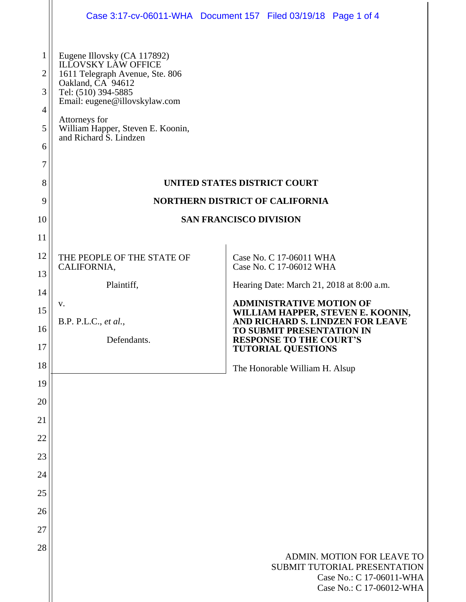|                                      |                                                                                                                                                                                                                                                           | Case 3:17-cv-06011-WHA  Document 157  Filed 03/19/18  Page 1 of 4                                                  |
|--------------------------------------|-----------------------------------------------------------------------------------------------------------------------------------------------------------------------------------------------------------------------------------------------------------|--------------------------------------------------------------------------------------------------------------------|
| 1<br>2<br>3<br>4<br>5<br>6<br>7<br>8 | Eugene Illovsky (CA 117892)<br><b>ILLOVSKY LAW OFFICE</b><br>1611 Telegraph Avenue, Ste. 806<br>Oakland, CA 94612<br>Tel: (510) 394-5885<br>Email: eugene@illovskylaw.com<br>Attorneys for<br>William Happer, Steven E. Koonin,<br>and Richard S. Lindzen | <b>UNITED STATES DISTRICT COURT</b>                                                                                |
| 9                                    | <b>NORTHERN DISTRICT OF CALIFORNIA</b>                                                                                                                                                                                                                    |                                                                                                                    |
| 10                                   | <b>SAN FRANCISCO DIVISION</b>                                                                                                                                                                                                                             |                                                                                                                    |
| 11                                   |                                                                                                                                                                                                                                                           |                                                                                                                    |
| 12                                   | THE PEOPLE OF THE STATE OF<br>CALIFORNIA,                                                                                                                                                                                                                 | Case No. C 17-06011 WHA<br>Case No. C 17-06012 WHA                                                                 |
| 13                                   | Plaintiff,                                                                                                                                                                                                                                                | Hearing Date: March 21, 2018 at 8:00 a.m.                                                                          |
| 14                                   | v.                                                                                                                                                                                                                                                        | <b>ADMINISTRATIVE MOTION OF</b>                                                                                    |
| 15                                   | B.P. P.L.C., et al.,                                                                                                                                                                                                                                      | WILLIAM HAPPER, STEVEN E. KOONIN,<br>AND RICHARD S. LINDZEN FOR LEAVE                                              |
| 16<br>17                             | Defendants.                                                                                                                                                                                                                                               | TO SUBMIT PRESENTATION IN<br><b>RESPONSE TO THE COURT'S</b><br><b>TUTORIAL QUESTIONS</b>                           |
| 18                                   |                                                                                                                                                                                                                                                           | The Honorable William H. Alsup                                                                                     |
| 19                                   |                                                                                                                                                                                                                                                           |                                                                                                                    |
| 20                                   |                                                                                                                                                                                                                                                           |                                                                                                                    |
| 21                                   |                                                                                                                                                                                                                                                           |                                                                                                                    |
| 22                                   |                                                                                                                                                                                                                                                           |                                                                                                                    |
| 23                                   |                                                                                                                                                                                                                                                           |                                                                                                                    |
| 24                                   |                                                                                                                                                                                                                                                           |                                                                                                                    |
| 25                                   |                                                                                                                                                                                                                                                           |                                                                                                                    |
| 26                                   |                                                                                                                                                                                                                                                           |                                                                                                                    |
| 27                                   |                                                                                                                                                                                                                                                           |                                                                                                                    |
| 28                                   |                                                                                                                                                                                                                                                           | ADMIN. MOTION FOR LEAVE TO<br>SUBMIT TUTORIAL PRESENTATION<br>Case No.: C 17-06011-WHA<br>Case No.: C 17-06012-WHA |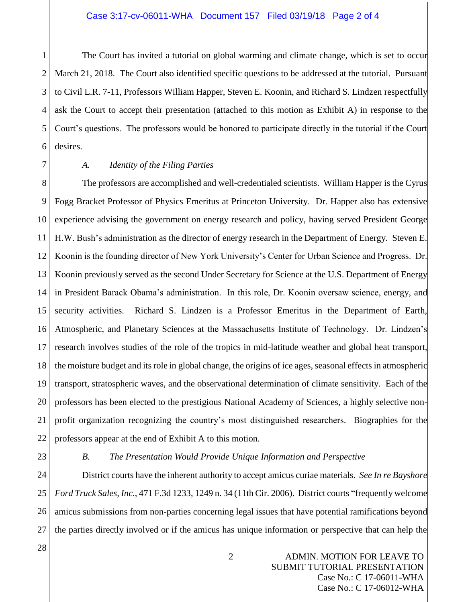1 2 3 4 5 6 The Court has invited a tutorial on global warming and climate change, which is set to occur March 21, 2018. The Court also identified specific questions to be addressed at the tutorial. Pursuant to Civil L.R. 7-11, Professors William Happer, Steven E. Koonin, and Richard S. Lindzen respectfully ask the Court to accept their presentation (attached to this motion as Exhibit A) in response to the Court's questions. The professors would be honored to participate directly in the tutorial if the Court desires.

7

## *A. Identity of the Filing Parties*

8 9 10 11 12 13 14 15 16 17 18 19 20 21 22 The professors are accomplished and well-credentialed scientists. William Happer is the Cyrus Fogg Bracket Professor of Physics Emeritus at Princeton University. Dr. Happer also has extensive experience advising the government on energy research and policy, having served President George H.W. Bush's administration as the director of energy research in the Department of Energy. Steven E. Koonin is the founding director of New York University's Center for Urban Science and Progress. Dr. Koonin previously served as the second Under Secretary for Science at the U.S. Department of Energy in President Barack Obama's administration. In this role, Dr. Koonin oversaw science, energy, and security activities. Richard S. Lindzen is a Professor Emeritus in the Department of Earth, Atmospheric, and Planetary Sciences at the Massachusetts Institute of Technology. Dr. Lindzen's research involves studies of the role of the tropics in mid-latitude weather and global heat transport, the moisture budget and its role in global change, the origins of ice ages, seasonal effects in atmospheric transport, stratospheric waves, and the observational determination of climate sensitivity. Each of the professors has been elected to the prestigious National Academy of Sciences, a highly selective nonprofit organization recognizing the country's most distinguished researchers. Biographies for the professors appear at the end of Exhibit A to this motion.

23

## *B. The Presentation Would Provide Unique Information and Perspective*

24 25 26 27 District courts have the inherent authority to accept amicus curiae materials. *See In re Bayshore Ford Truck Sales, Inc.*, 471 F.3d 1233, 1249 n. 34 (11th Cir. 2006). District courts "frequently welcome amicus submissions from non-parties concerning legal issues that have potential ramifications beyond the parties directly involved or if the amicus has unique information or perspective that can help the

28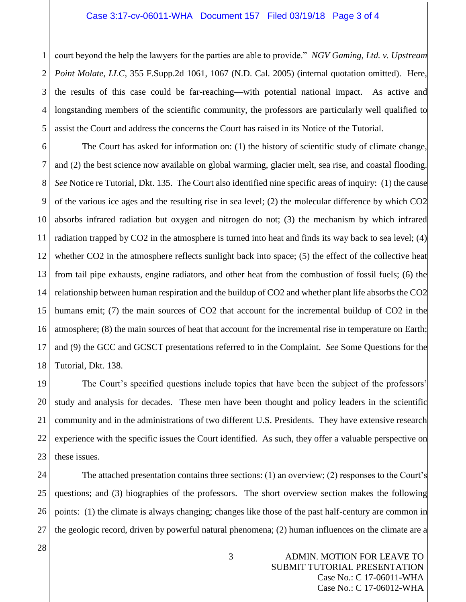#### Case 3:17-cv-06011-WHA Document 157 Filed 03/19/18 Page 3 of 4

1 2 3 4 5 court beyond the help the lawyers for the parties are able to provide." *NGV Gaming, Ltd. v. Upstream Point Molate, LLC*, 355 F.Supp.2d 1061, 1067 (N.D. Cal. 2005) (internal quotation omitted). Here, the results of this case could be far-reaching—with potential national impact. As active and longstanding members of the scientific community, the professors are particularly well qualified to assist the Court and address the concerns the Court has raised in its Notice of the Tutorial.

6 7 8 9 10 11 12 13 14 15 16 17 18 The Court has asked for information on: (1) the history of scientific study of climate change, and (2) the best science now available on global warming, glacier melt, sea rise, and coastal flooding. *See* Notice re Tutorial, Dkt. 135. The Court also identified nine specific areas of inquiry: (1) the cause of the various ice ages and the resulting rise in sea level; (2) the molecular difference by which CO2 absorbs infrared radiation but oxygen and nitrogen do not; (3) the mechanism by which infrared radiation trapped by CO2 in the atmosphere is turned into heat and finds its way back to sea level; (4) whether CO2 in the atmosphere reflects sunlight back into space; (5) the effect of the collective heat from tail pipe exhausts, engine radiators, and other heat from the combustion of fossil fuels; (6) the relationship between human respiration and the buildup of CO2 and whether plant life absorbs the CO2 humans emit; (7) the main sources of CO2 that account for the incremental buildup of CO2 in the atmosphere; (8) the main sources of heat that account for the incremental rise in temperature on Earth; and (9) the GCC and GCSCT presentations referred to in the Complaint. *See* Some Questions for the Tutorial, Dkt. 138.

19 20 21 22 23 The Court's specified questions include topics that have been the subject of the professors' study and analysis for decades. These men have been thought and policy leaders in the scientific community and in the administrations of two different U.S. Presidents. They have extensive research experience with the specific issues the Court identified. As such, they offer a valuable perspective on these issues.

24 25 26 27 The attached presentation contains three sections: (1) an overview; (2) responses to the Court's questions; and (3) biographies of the professors. The short overview section makes the following points: (1) the climate is always changing; changes like those of the past half-century are common in the geologic record, driven by powerful natural phenomena; (2) human influences on the climate are a